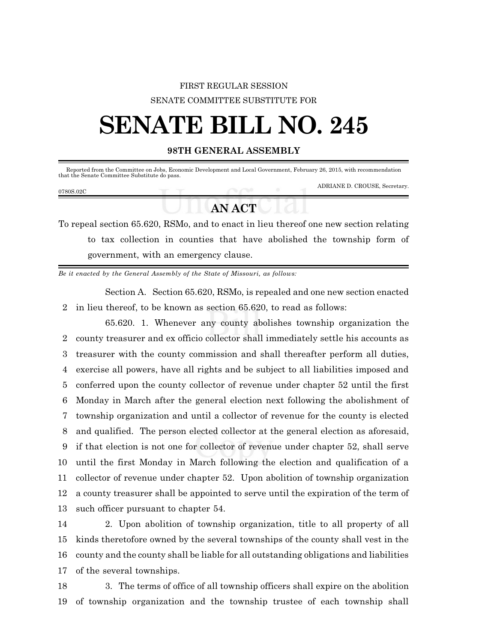## FIRST REGULAR SESSION SENATE COMMITTEE SUBSTITUTE FOR

## **SENATE BILL NO. 245**

## **98TH GENERAL ASSEMBLY**

 Reported from the Committee on Jobs, Economic Development and Local Government, February 26, 2015, with recommendation that the Senate Committee Substitute do pass. ADRIANE D. CROUSE, Secretary. 0780S.02C

## **AN ACT**

To repeal section 65.620, RSMo, and to enact in lieu thereof one new section relating to tax collection in counties that have abolished the township form of government, with an emergency clause.

*Be it enacted by the General Assembly of the State of Missouri, as follows:*

Section A. Section 65.620, RSMo, is repealed and one new section enacted 2 in lieu thereof, to be known as section 65.620, to read as follows:

65.620. 1. Whenever any county abolishes township organization the county treasurer and ex officio collector shall immediately settle his accounts as treasurer with the county commission and shall thereafter perform all duties, exercise all powers, have all rights and be subject to all liabilities imposed and conferred upon the county collector of revenue under chapter 52 until the first Monday in March after the general election next following the abolishment of township organization and until a collector of revenue for the county is elected and qualified. The person elected collector at the general election as aforesaid, if that election is not one for collector of revenue under chapter 52, shall serve until the first Monday in March following the election and qualification of a collector of revenue under chapter 52. Upon abolition of township organization a county treasurer shall be appointed to serve until the expiration of the term of such officer pursuant to chapter 54.

 2. Upon abolition of township organization, title to all property of all kinds theretofore owned by the several townships of the county shall vest in the county and the county shall be liable for all outstanding obligations and liabilities of the several townships.

18 3. The terms of office of all township officers shall expire on the abolition 19 of township organization and the township trustee of each township shall